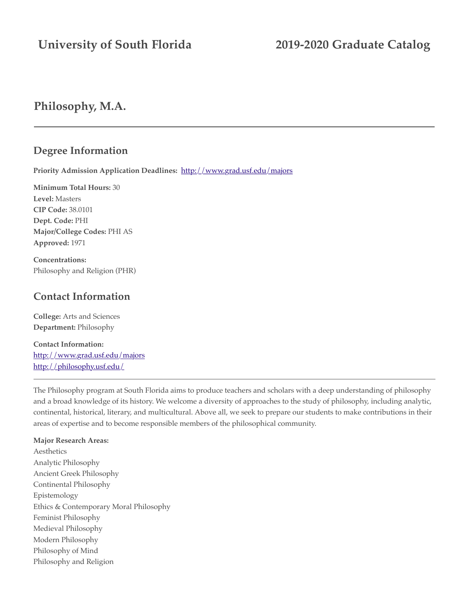# **University of South Florida 2019-2020 Graduate Catalog**

## **Philosophy, M.A.**

### **Degree Information**

**Priority Admission Application Deadlines:** <http://www.grad.usf.edu/majors>

**Minimum Total Hours:** 30 **Level:** Masters **CIP Code:** 38.0101 **Dept. Code:** PHI **Major/College Codes:** PHI AS **Approved:** 1971

**Concentrations:** Philosophy and Religion (PHR)

## **Contact Information**

**College:** Arts and Sciences **Department:** Philosophy

**Contact Information:** <http://www.grad.usf.edu/majors> <http://philosophy.usf.edu/>

The Philosophy program at South Florida aims to produce teachers and scholars with a deep understanding of philosophy and a broad knowledge of its history. We welcome a diversity of approaches to the study of philosophy, including analytic, continental, historical, literary, and multicultural. Above all, we seek to prepare our students to make contributions in their areas of expertise and to become responsible members of the philosophical community.

#### **Major Research Areas:**

Aesthetics Analytic Philosophy Ancient Greek Philosophy Continental Philosophy Epistemology Ethics & Contemporary Moral Philosophy Feminist Philosophy Medieval Philosophy Modern Philosophy Philosophy of Mind Philosophy and Religion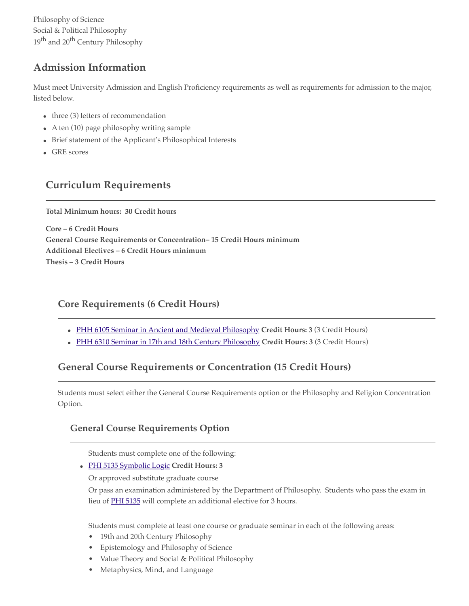Philosophy of Science Social & Political Philosophy 19th and 20th Century Philosophy

## **Admission Information**

Must meet University Admission and English Proficiency requirements as well as requirements for admission to the major, listed below.

- $\bullet$  three (3) letters of recommendation
- A ten (10) page philosophy writing sample
- Brief statement of the Applicant's Philosophical Interests
- GRE scores

## **Curriculum Requirements**

**Total Minimum hours: 30 Credit hours**

**Core – 6 Credit Hours General Course Requirements or Concentration– 15 Credit Hours minimum Additional Electives – 6 Credit Hours minimum Thesis – 3 Credit Hours**

### **Core Requirements (6 Credit Hours)**

- [PHH 6105 Seminar in Ancient and Medieval Philosophy](http://catalog.usf.edu/preview_program.php?catoid=9&poid=2917&returnto=996&print%23) **Credit Hours: 3** (3 Credit Hours)
- [PHH 6310 Seminar in 17th and 18th Century Philosophy](http://catalog.usf.edu/preview_program.php?catoid=9&poid=2917&returnto=996&print%23) **Credit Hours: 3** (3 Credit Hours)

## **General Course Requirements or Concentration (15 Credit Hours)**

Students must select either the General Course Requirements option or the Philosophy and Religion Concentration Option.

### **General Course Requirements Option**

Students must complete one of the following:

[PHI 5135 Symbolic Logic](http://catalog.usf.edu/preview_program.php?catoid=9&poid=2917&returnto=996&print%23) **Credit Hours: 3**

Or approved substitute graduate course

<span id="page-1-0"></span>Or pass an examination administered by the Department of Philosophy. Students who pass the exam in lieu of [PHI 5135](#page-1-0) will complete an additional elective for 3 hours.

Students must complete at least one course or graduate seminar in each of the following areas:

- 19th and 20th Century Philosophy
- Epistemology and Philosophy of Science
- Value Theory and Social & Political Philosophy
- Metaphysics, Mind, and Language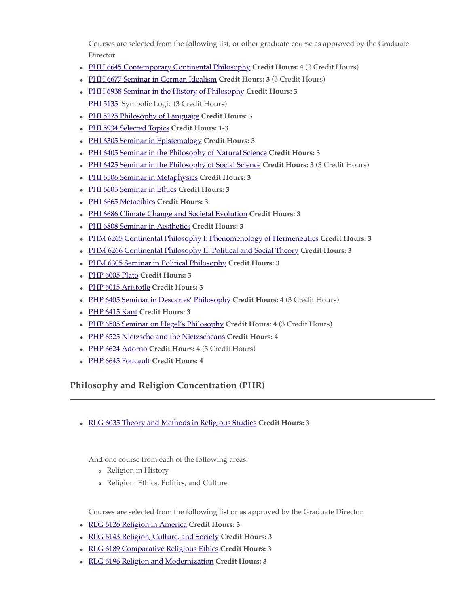Courses are selected from the following list, or other graduate course as approved by the Graduate Director.

- [PHH 6645 Contemporary Continental Philosophy](http://catalog.usf.edu/preview_program.php?catoid=9&poid=2917&returnto=996&print%23) **Credit Hours: 4** (3 Credit Hours)
- [PHH 6677 Seminar in German Idealism](http://catalog.usf.edu/preview_program.php?catoid=9&poid=2917&returnto=996&print%23) **Credit Hours: 3** (3 Credit Hours)
- [PHH 6938 Seminar in the History of Philosophy](http://catalog.usf.edu/preview_program.php?catoid=9&poid=2917&returnto=996&print%23) **Credit Hours: 3** [PHI 5135](#page-2-0) Symbolic Logic (3 Credit Hours)
- <span id="page-2-0"></span>[PHI 5225 Philosophy of Language](http://catalog.usf.edu/preview_program.php?catoid=9&poid=2917&returnto=996&print%23) **Credit Hours: 3**
- [PHI 5934 Selected Topics](http://catalog.usf.edu/preview_program.php?catoid=9&poid=2917&returnto=996&print%23) **Credit Hours: 1-3**
- [PHI 6305 Seminar in Epistemology](http://catalog.usf.edu/preview_program.php?catoid=9&poid=2917&returnto=996&print%23) **Credit Hours: 3**
- [PHI 6405 Seminar in the Philosophy of Natural Science](http://catalog.usf.edu/preview_program.php?catoid=9&poid=2917&returnto=996&print%23) **Credit Hours: 3**
- [PHI 6425 Seminar in the Philosophy of Social Science](http://catalog.usf.edu/preview_program.php?catoid=9&poid=2917&returnto=996&print%23) **Credit Hours: 3** (3 Credit Hours)
- [PHI 6506 Seminar in Metaphysics](http://catalog.usf.edu/preview_program.php?catoid=9&poid=2917&returnto=996&print%23) **Credit Hours: 3**
- [PHI 6605 Seminar in Ethics](http://catalog.usf.edu/preview_program.php?catoid=9&poid=2917&returnto=996&print%23) **Credit Hours: 3**
- [PHI 6665 Metaethics](http://catalog.usf.edu/preview_program.php?catoid=9&poid=2917&returnto=996&print%23) **Credit Hours: 3**
- [PHI 6686 Climate Change and Societal Evolution](http://catalog.usf.edu/preview_program.php?catoid=9&poid=2917&returnto=996&print%23) **Credit Hours: 3**
- [PHI 6808 Seminar in Aesthetics](http://catalog.usf.edu/preview_program.php?catoid=9&poid=2917&returnto=996&print%23) **Credit Hours: 3**
- [PHM 6265 Continental Philosophy I: Phenomenology of Hermeneutics](http://catalog.usf.edu/preview_program.php?catoid=9&poid=2917&returnto=996&print%23) **Credit Hours: 3**
- [PHM 6266 Continental Philosophy II: Political and Social Theory](http://catalog.usf.edu/preview_program.php?catoid=9&poid=2917&returnto=996&print%23) **Credit Hours: 3**
- [PHM 6305 Seminar in Political Philosophy](http://catalog.usf.edu/preview_program.php?catoid=9&poid=2917&returnto=996&print%23) **Credit Hours: 3**
- [PHP 6005 Plato](http://catalog.usf.edu/preview_program.php?catoid=9&poid=2917&returnto=996&print%23) **Credit Hours: 3**
- [PHP 6015 Aristotle](http://catalog.usf.edu/preview_program.php?catoid=9&poid=2917&returnto=996&print%23) **Credit Hours: 3**
- [PHP 6405 Seminar in Descartes' Philosophy](http://catalog.usf.edu/preview_program.php?catoid=9&poid=2917&returnto=996&print%23) **Credit Hours: 4** (3 Credit Hours)
- [PHP 6415 Kant](http://catalog.usf.edu/preview_program.php?catoid=9&poid=2917&returnto=996&print%23) **Credit Hours: 3**
- [PHP 6505 Seminar on Hegel's Philosophy](http://catalog.usf.edu/preview_program.php?catoid=9&poid=2917&returnto=996&print%23) **Credit Hours: 4** (3 Credit Hours)
- [PHP 6525 Nietzsche and the Nietzscheans](http://catalog.usf.edu/preview_program.php?catoid=9&poid=2917&returnto=996&print%23) **Credit Hours: 4**
- [PHP 6624 Adorno](http://catalog.usf.edu/preview_program.php?catoid=9&poid=2917&returnto=996&print%23) **Credit Hours: 4** (3 Credit Hours)
- [PHP 6645 Foucault](http://catalog.usf.edu/preview_program.php?catoid=9&poid=2917&returnto=996&print%23) **Credit Hours: 4**

### **Philosophy and Religion Concentration (PHR)**

[RLG 6035 Theory and Methods in Religious Studies](http://catalog.usf.edu/preview_program.php?catoid=9&poid=2917&returnto=996&print%23) **Credit Hours: 3**

And one course from each of the following areas:

- Religion in History
- Religion: Ethics, Politics, and Culture

Courses are selected from the following list or as approved by the Graduate Director.

- [RLG 6126 Religion in America](http://catalog.usf.edu/preview_program.php?catoid=9&poid=2917&returnto=996&print%23) **Credit Hours: 3**
- [RLG 6143 Religion, Culture, and Society](http://catalog.usf.edu/preview_program.php?catoid=9&poid=2917&returnto=996&print%23) **Credit Hours: 3**
- [RLG 6189 Comparative Religious Ethics](http://catalog.usf.edu/preview_program.php?catoid=9&poid=2917&returnto=996&print%23) **Credit Hours: 3**
- [RLG 6196 Religion and Modernization](http://catalog.usf.edu/preview_program.php?catoid=9&poid=2917&returnto=996&print%23) **Credit Hours: 3**